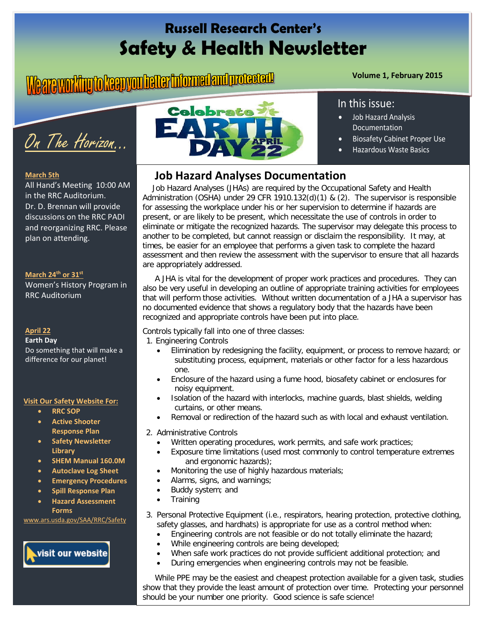# **Russell Research Center's Safety & Health Newsletter**

# **Volume 1, February 2015**



#### **March 5th**

All Hand's Meeting 10:00 AM in the RRC Auditorium. Dr. D. Brennan will provide discussions on the RRC PADI and reorganizing RRC. Please plan on attending.

#### **March 24th or 31st**

Women's History Program in RRC Auditorium

#### **April 22**

**Earth Day** Do something that will make a difference for our planet!

#### **Visit Our Safety Website For:**

- **RRC SOP**
- **Active Shooter Response Plan**
- **Safety Newsletter Library**
- **SHEM Manual 160.0M**
- **Autoclave Log Sheet**
- **Emergency Procedures**
- **Spill Response Plan**
- **Hazard Assessment Forms**

[www.ars.usda.gov/SAA/RRC/Safety](http://www.ars.usda.gov/SAA/RRC/Safety)

## visit our website



#### In this issue:

- Job Hazard Analysis Documentation
- Biosafety Cabinet Proper Use
- Hazardous Waste Basics

#### **Job Hazard Analyses Documentation**

 Job Hazard Analyses (JHAs) are required by the Occupational Safety and Health Administration (OSHA) under 29 CFR 1910.132(d)(1) & (2). The supervisor is responsible for assessing the workplace under his or her supervision to determine if hazards are present, or are likely to be present, which necessitate the use of controls in order to eliminate or mitigate the recognized hazards. The supervisor may delegate this process to another to be completed, but cannot reassign or disclaim the responsibility. It may, at times, be easier for an employee that performs a given task to complete the hazard assessment and then review the assessment with the supervisor to ensure that all hazards are appropriately addressed.

 A JHA is vital for the development of proper work practices and procedures. They can also be very useful in developing an outline of appropriate training activities for employees that will perform those activities. Without written documentation of a JHA a supervisor has no documented evidence that shows a regulatory body that the hazards have been recognized and appropriate controls have been put into place.

Controls typically fall into one of three classes:

- 1. Engineering Controls
	- Elimination by redesigning the facility, equipment, or process to remove hazard; or substituting process, equipment, materials or other factor for a less hazardous one.
	- Enclosure of the hazard using a fume hood, biosafety cabinet or enclosures for noisy equipment.
	- Isolation of the hazard with interlocks, machine guards, blast shields, welding curtains, or other means.
	- Removal or redirection of the hazard such as with local and exhaust ventilation.
- 2. Administrative Controls
	- Written operating procedures, work permits, and safe work practices;
	- Exposure time limitations (used most commonly to control temperature extremes and ergonomic hazards);
	- Monitoring the use of highly hazardous materials;
	- Alarms, signs, and warnings;
	- Buddy system; and
	- **Training**
- 3. Personal Protective Equipment (i.e., respirators, hearing protection, protective clothing, safety glasses, and hardhats) is appropriate for use as a control method when:
	- Engineering controls are not feasible or do not totally eliminate the hazard;
	- While engineering controls are being developed;
	- When safe work practices do not provide sufficient additional protection; and
	- During emergencies when engineering controls may not be feasible.

 While PPE may be the easiest and cheapest protection available for a given task, studies show that they provide the least amount of protection over time. Protecting your personnel should be your number one priority. Good science is safe science!